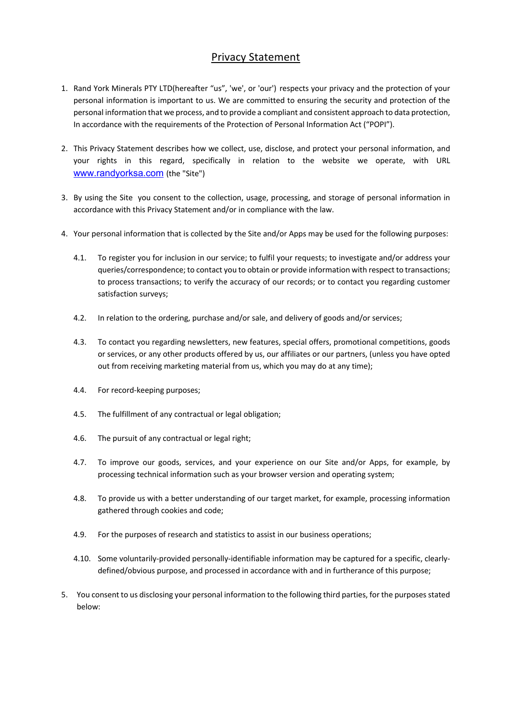# Privacy Statement

- 1. Rand York Minerals PTY LTD(hereafter "us", 'we', or 'our') respects your privacy and the protection of your personal information is important to us. We are committed to ensuring the security and protection of the personal information that we process, and to provide a compliant and consistent approach to data protection, In accordance with the requirements of the Protection of Personal Information Act ("POPI").
- 2. This Privacy Statement describes how we collect, use, disclose, and protect your personal information, and your rights in this regard, specifically in relation to the website we operate, with URL www.randyorksa.com (the "Site")
- 3. By using the Site you consent to the collection, usage, processing, and storage of personal information in accordance with this Privacy Statement and/or in compliance with the law.
- 4. Your personal information that is collected by the Site and/or Apps may be used for the following purposes:
	- 4.1. To register you for inclusion in our service; to fulfil your requests; to investigate and/or address your queries/correspondence; to contact you to obtain or provide information with respect to transactions; to process transactions; to verify the accuracy of our records; or to contact you regarding customer satisfaction surveys;
	- 4.2. In relation to the ordering, purchase and/or sale, and delivery of goods and/or services;
	- 4.3. To contact you regarding newsletters, new features, special offers, promotional competitions, goods or services, or any other products offered by us, our affiliates or our partners, (unless you have opted out from receiving marketing material from us, which you may do at any time);
	- 4.4. For record-keeping purposes;
	- 4.5. The fulfillment of any contractual or legal obligation;
	- 4.6. The pursuit of any contractual or legal right;
	- 4.7. To improve our goods, services, and your experience on our Site and/or Apps, for example, by processing technical information such as your browser version and operating system;
	- 4.8. To provide us with a better understanding of our target market, for example, processing information gathered through cookies and code;
	- 4.9. For the purposes of research and statistics to assist in our business operations;
	- 4.10. Some voluntarily-provided personally-identifiable information may be captured for a specific, clearlydefined/obvious purpose, and processed in accordance with and in furtherance of this purpose;
- 5. You consent to us disclosing your personal information to the following third parties, for the purposes stated below: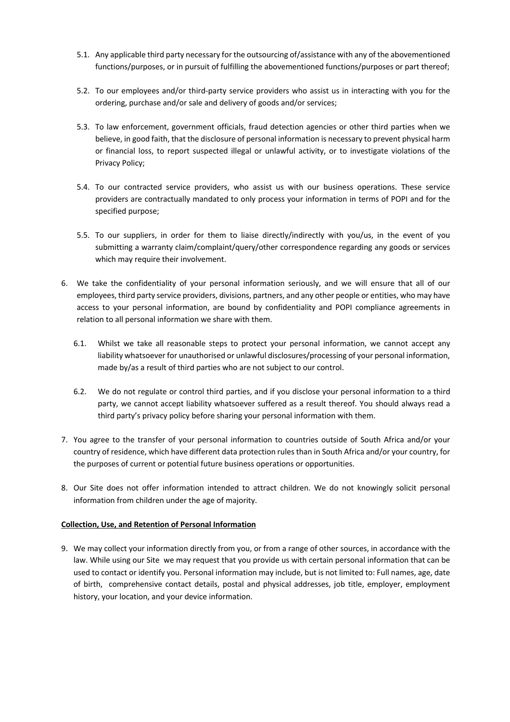- 5.1. Any applicable third party necessary for the outsourcing of/assistance with any of the abovementioned functions/purposes, or in pursuit of fulfilling the abovementioned functions/purposes or part thereof;
- 5.2. To our employees and/or third-party service providers who assist us in interacting with you for the ordering, purchase and/or sale and delivery of goods and/or services;
- 5.3. To law enforcement, government officials, fraud detection agencies or other third parties when we believe, in good faith, that the disclosure of personal information is necessary to prevent physical harm or financial loss, to report suspected illegal or unlawful activity, or to investigate violations of the Privacy Policy;
- 5.4. To our contracted service providers, who assist us with our business operations. These service providers are contractually mandated to only process your information in terms of POPI and for the specified purpose;
- 5.5. To our suppliers, in order for them to liaise directly/indirectly with you/us, in the event of you submitting a warranty claim/complaint/query/other correspondence regarding any goods or services which may require their involvement.
- 6. We take the confidentiality of your personal information seriously, and we will ensure that all of our employees, third party service providers, divisions, partners, and any other people or entities, who may have access to your personal information, are bound by confidentiality and POPI compliance agreements in relation to all personal information we share with them.
	- 6.1. Whilst we take all reasonable steps to protect your personal information, we cannot accept any liability whatsoever for unauthorised or unlawful disclosures/processing of your personal information, made by/as a result of third parties who are not subject to our control.
	- 6.2. We do not regulate or control third parties, and if you disclose your personal information to a third party, we cannot accept liability whatsoever suffered as a result thereof. You should always read a third party's privacy policy before sharing your personal information with them.
- 7. You agree to the transfer of your personal information to countries outside of South Africa and/or your country of residence, which have different data protection rules than in South Africa and/or your country, for the purposes of current or potential future business operations or opportunities.
- 8. Our Site does not offer information intended to attract children. We do not knowingly solicit personal information from children under the age of majority.

# **Collection, Use, and Retention of Personal Information**

9. We may collect your information directly from you, or from a range of other sources, in accordance with the law. While using our Site we may request that you provide us with certain personal information that can be used to contact or identify you. Personal information may include, but is not limited to: Full names, age, date of birth, comprehensive contact details, postal and physical addresses, job title, employer, employment history, your location, and your device information.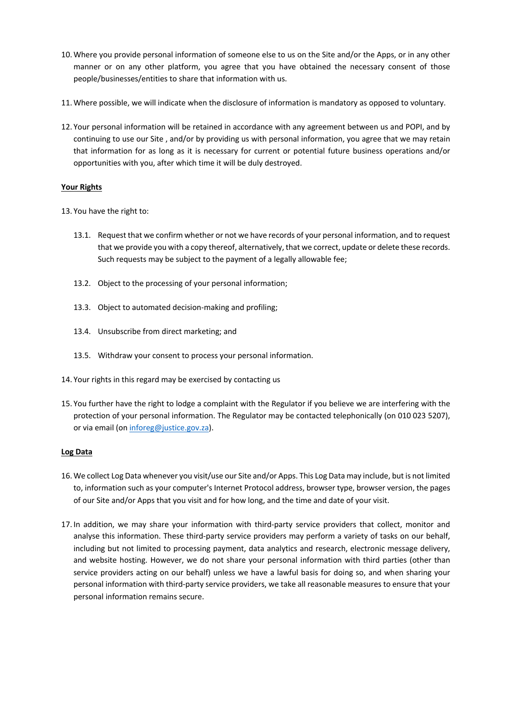- 10. Where you provide personal information of someone else to us on the Site and/or the Apps, or in any other manner or on any other platform, you agree that you have obtained the necessary consent of those people/businesses/entities to share that information with us.
- 11. Where possible, we will indicate when the disclosure of information is mandatory as opposed to voluntary.
- 12. Your personal information will be retained in accordance with any agreement between us and POPI, and by continuing to use our Site , and/or by providing us with personal information, you agree that we may retain that information for as long as it is necessary for current or potential future business operations and/or opportunities with you, after which time it will be duly destroyed.

## **Your Rights**

- 13. You have the right to:
	- 13.1. Request that we confirm whether or not we have records of your personal information, and to request that we provide you with a copy thereof, alternatively, that we correct, update or delete these records. Such requests may be subject to the payment of a legally allowable fee;
	- 13.2. Object to the processing of your personal information;
	- 13.3. Object to automated decision-making and profiling;
	- 13.4. Unsubscribe from direct marketing; and
	- 13.5. Withdraw your consent to process your personal information.
- 14. Your rights in this regard may be exercised by contacting us
- 15. You further have the right to lodge a complaint with the Regulator if you believe we are interfering with the protection of your personal information. The Regulator may be contacted telephonically (on 010 023 5207), or via email (on inforeg@justice.gov.za).

#### **Log Data**

- 16. We collect Log Data whenever you visit/use our Site and/or Apps. This Log Data may include, but is not limited to, information such as your computer's Internet Protocol address, browser type, browser version, the pages of our Site and/or Apps that you visit and for how long, and the time and date of your visit.
- 17. In addition, we may share your information with third-party service providers that collect, monitor and analyse this information. These third-party service providers may perform a variety of tasks on our behalf, including but not limited to processing payment, data analytics and research, electronic message delivery, and website hosting. However, we do not share your personal information with third parties (other than service providers acting on our behalf) unless we have a lawful basis for doing so, and when sharing your personal information with third-party service providers, we take all reasonable measures to ensure that your personal information remains secure.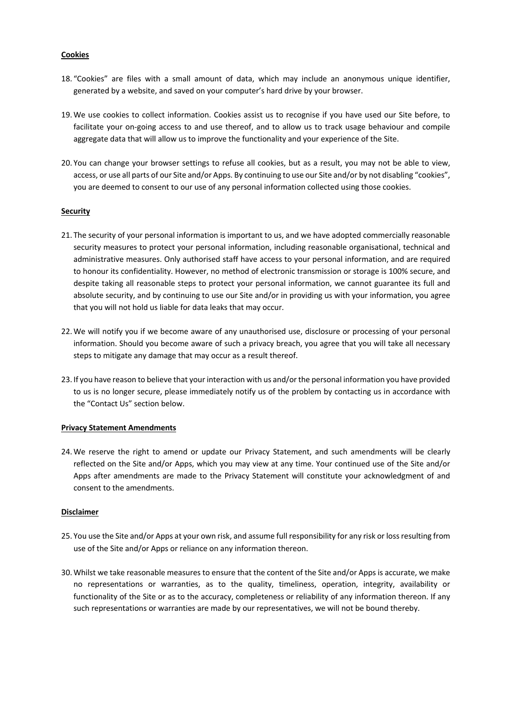#### **Cookies**

- 18. "Cookies" are files with a small amount of data, which may include an anonymous unique identifier, generated by a website, and saved on your computer's hard drive by your browser.
- 19. We use cookies to collect information. Cookies assist us to recognise if you have used our Site before, to facilitate your on-going access to and use thereof, and to allow us to track usage behaviour and compile aggregate data that will allow us to improve the functionality and your experience of the Site.
- 20. You can change your browser settings to refuse all cookies, but as a result, you may not be able to view, access, or use all parts of our Site and/or Apps. By continuing to use our Site and/or by not disabling "cookies", you are deemed to consent to our use of any personal information collected using those cookies.

## **Security**

- 21. The security of your personal information is important to us, and we have adopted commercially reasonable security measures to protect your personal information, including reasonable organisational, technical and administrative measures. Only authorised staff have access to your personal information, and are required to honour its confidentiality. However, no method of electronic transmission or storage is 100% secure, and despite taking all reasonable steps to protect your personal information, we cannot guarantee its full and absolute security, and by continuing to use our Site and/or in providing us with your information, you agree that you will not hold us liable for data leaks that may occur.
- 22. We will notify you if we become aware of any unauthorised use, disclosure or processing of your personal information. Should you become aware of such a privacy breach, you agree that you will take all necessary steps to mitigate any damage that may occur as a result thereof.
- 23. If you have reason to believe that your interaction with us and/or the personal information you have provided to us is no longer secure, please immediately notify us of the problem by contacting us in accordance with the "Contact Us" section below.

#### **Privacy Statement Amendments**

24. We reserve the right to amend or update our Privacy Statement, and such amendments will be clearly reflected on the Site and/or Apps, which you may view at any time. Your continued use of the Site and/or Apps after amendments are made to the Privacy Statement will constitute your acknowledgment of and consent to the amendments.

#### **Disclaimer**

- 25. You use the Site and/or Apps at your own risk, and assume full responsibility for any risk or loss resulting from use of the Site and/or Apps or reliance on any information thereon.
- 30. Whilst we take reasonable measures to ensure that the content of the Site and/or Apps is accurate, we make no representations or warranties, as to the quality, timeliness, operation, integrity, availability or functionality of the Site or as to the accuracy, completeness or reliability of any information thereon. If any such representations or warranties are made by our representatives, we will not be bound thereby.